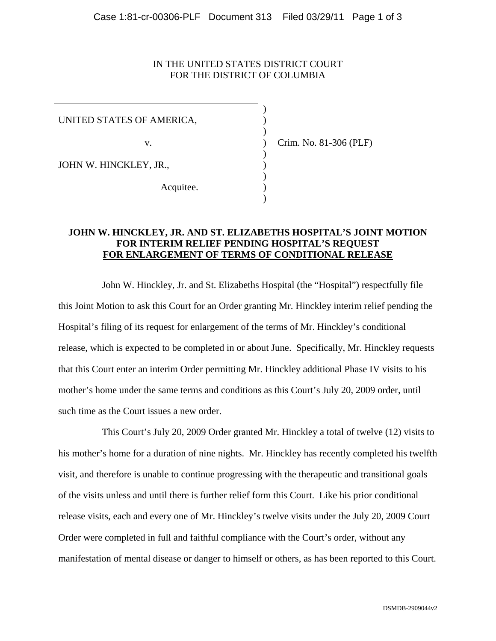### IN THE UNITED STATES DISTRICT COURT FOR THE DISTRICT OF COLUMBIA

UNITED STATES OF AMERICA,

 $)$ 

 $)$ 

 $)$ 

 $)$ 

 $)$ 

JOHN W. HINCKLEY, JR.,  $\qquad \qquad$ )

Acquitee.

v. ) Crim. No. 81-306 (PLF)

### **JOHN W. HINCKLEY, JR. AND ST. ELIZABETHS HOSPITAL'S JOINT MOTION FOR INTERIM RELIEF PENDING HOSPITAL'S REQUEST FOR ENLARGEMENT OF TERMS OF CONDITIONAL RELEASE**

John W. Hinckley, Jr. and St. Elizabeths Hospital (the "Hospital") respectfully file this Joint Motion to ask this Court for an Order granting Mr. Hinckley interim relief pending the Hospital's filing of its request for enlargement of the terms of Mr. Hinckley's conditional release, which is expected to be completed in or about June. Specifically, Mr. Hinckley requests that this Court enter an interim Order permitting Mr. Hinckley additional Phase IV visits to his mother's home under the same terms and conditions as this Court's July 20, 2009 order, until such time as the Court issues a new order.

This Court's July 20, 2009 Order granted Mr. Hinckley a total of twelve (12) visits to his mother's home for a duration of nine nights. Mr. Hinckley has recently completed his twelfth visit, and therefore is unable to continue progressing with the therapeutic and transitional goals of the visits unless and until there is further relief form this Court. Like his prior conditional release visits, each and every one of Mr. Hinckley's twelve visits under the July 20, 2009 Court Order were completed in full and faithful compliance with the Court's order, without any manifestation of mental disease or danger to himself or others, as has been reported to this Court.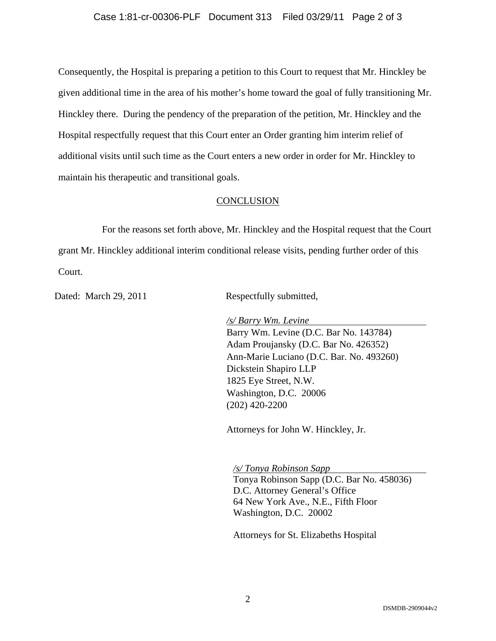Consequently, the Hospital is preparing a petition to this Court to request that Mr. Hinckley be given additional time in the area of his mother's home toward the goal of fully transitioning Mr. Hinckley there. During the pendency of the preparation of the petition, Mr. Hinckley and the Hospital respectfully request that this Court enter an Order granting him interim relief of additional visits until such time as the Court enters a new order in order for Mr. Hinckley to maintain his therapeutic and transitional goals.

## **CONCLUSION**

For the reasons set forth above, Mr. Hinckley and the Hospital request that the Court grant Mr. Hinckley additional interim conditional release visits, pending further order of this Court.

Dated: March 29, 2011 Respectfully submitted,

*/s/ Barry Wm. Levine*

 Barry Wm. Levine (D.C. Bar No. 143784) Adam Proujansky (D.C. Bar No. 426352) Ann-Marie Luciano (D.C. Bar. No. 493260) Dickstein Shapiro LLP 1825 Eye Street, N.W. Washington, D.C. 20006 (202) 420-2200

Attorneys for John W. Hinckley, Jr.

*/s/ Tonya Robinson Sapp*  Tonya Robinson Sapp (D.C. Bar No. 458036) D.C. Attorney General's Office 64 New York Ave., N.E., Fifth Floor Washington, D.C. 20002

Attorneys for St. Elizabeths Hospital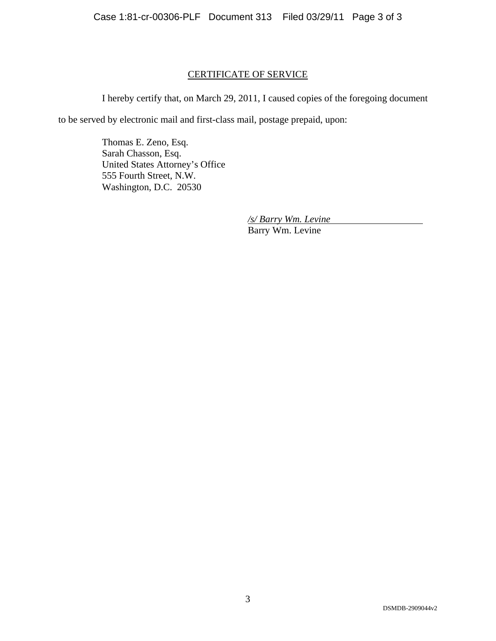# CERTIFICATE OF SERVICE

I hereby certify that, on March 29, 2011, I caused copies of the foregoing document

to be served by electronic mail and first-class mail, postage prepaid, upon:

Thomas E. Zeno, Esq. Sarah Chasson, Esq. United States Attorney's Office 555 Fourth Street, N.W. Washington, D.C. 20530

> */s/ Barry Wm. Levine* Barry Wm. Levine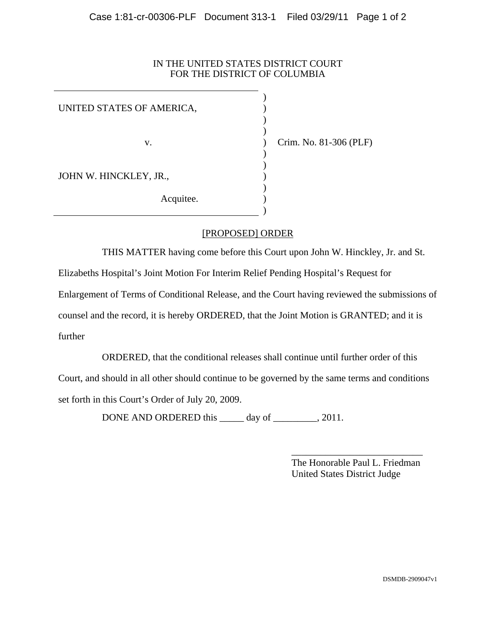## IN THE UNITED STATES DISTRICT COURT FOR THE DISTRICT OF COLUMBIA

| UNITED STATES OF AMERICA, |  |
|---------------------------|--|
| V.                        |  |
| JOHN W. HINCKLEY, JR.,    |  |
| Acquitee.                 |  |

) Crim. No. 81-306 (PLF)

# [PROPOSED] ORDER

THIS MATTER having come before this Court upon John W. Hinckley, Jr. and St.

Elizabeths Hospital's Joint Motion For Interim Relief Pending Hospital's Request for

Enlargement of Terms of Conditional Release, and the Court having reviewed the submissions of

counsel and the record, it is hereby ORDERED, that the Joint Motion is GRANTED; and it is further

ORDERED, that the conditional releases shall continue until further order of this Court, and should in all other should continue to be governed by the same terms and conditions set forth in this Court's Order of July 20, 2009.

DONE AND ORDERED this \_\_\_\_\_ day of \_\_\_\_\_\_\_, 2011.

 $\frac{1}{2}$  , and the contract of the contract of the contract of the contract of the contract of the contract of the contract of the contract of the contract of the contract of the contract of the contract of the contract The Honorable Paul L. Friedman United States District Judge